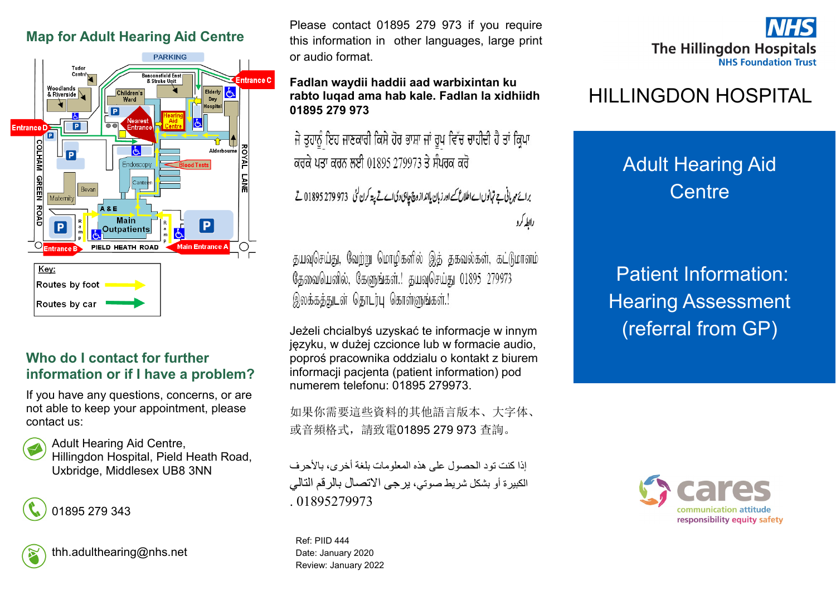# **Map for Adult Hearing Aid Centre**



#### **Who do I contact for further information or if I have a problem?**

If you have any questions, concerns, or are not able to keep your appointment, please contact us:







Please contact 01895 279 973 if you require this information in other languages, large print or audio format.

#### **Fadlan waydii haddii aad warbixintan ku rabto luqad ama hab kale. Fadlan la xidhiidh 01895 279 973**

ਜੇ ਤੁਹਾਨੂੰ ਇਹ ਜਾਣਕਾਰੀ ਕਿਸੇ ਹੋਰ ਭਾਸ਼ਾ ਜਾਂ ਰੂਪ ਵਿੱਚ ਚਾਹੀਦੀ ਹੈ ਤਾਂ ਕ੍ਰਿਪਾ ਕਰਕੇ ਪਤਾ ਕਰਨ ਲਈ 01895 279973 ਤੇ ਸੰਪਰਕ ਕਰੋ

برائع مہربانی ہے تہانوں اے اطلاع کے اور زبان یاانداز وچ چاہی دی اے تے پتہ کرن گئی ۔973 279 279 1895 تے رابطه کرد

தயவுசெய்து, வேற்று மொழிகளில் இத் தகவல்கள், கட்டுமானம் தேவையெனில், கேளுங்கள்.! தயவுசெய்து 01895 279973 இலக்கத்துடன் தொடர்பு கொள்ளுங்கள்.!

Jeżeli chcialbyś uzyskać te informacje w innym języku, w dużej czcionce lub w formacie audio, poproś pracownika oddzialu o kontakt z biurem informacji pacjenta (patient information) pod numerem telefonu: 01895 279973.

如果你需要這些資料的其他語言版本、大字体、 或音頻格式,請致電01895 279 973 查詢。

إذا كنت تود الحصول على هذه المعلومات بلغة أخرى، بالأحرف الكبيرة أو بشكل شريط صوتي، يرجى االتصال بالرقم التالي 01895279973

Ref: PIID 444 Date: January 2020 Review: January 2022



# HILLINGDON HOSPITAL

# Adult Hearing Aid **Centre**

Patient Information: Hearing Assessment (referral from GP)